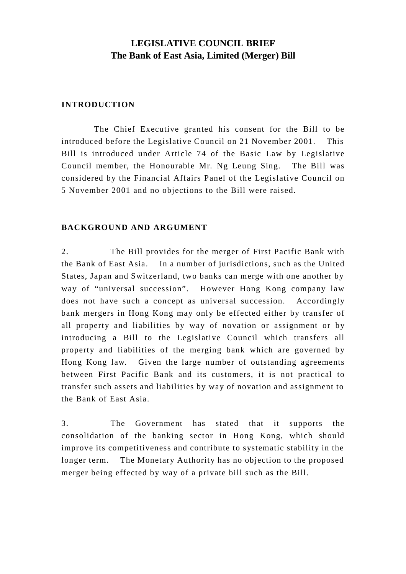# **LEGISLATIVE COUNCIL BRIEF The Bank of East Asia, Limited (Merger) Bill**

### **INTRODUCTION**

The Chief Executive granted his consent for the Bill to be introduced before the Legislative Council on 21 November 2001. This Bill is introduced under Article 74 of the Basic Law by Legislative Council member, the Honourable Mr. Ng Leung Sing. The Bill was considered by the Financial Affairs Panel of the Legislative Council on 5 November 2001 and no objections to the Bill were raised.

### **BACKGROUND AND ARGUMENT**

2. The Bill provides for the merger of First Pacific Bank with the Bank of East Asia. In a number of jurisdictions, such as the United States, Japan and Switzerland, two banks can merge with one another by way of "universal succession". However Hong Kong company law does not have such a concept as universal succession. Accordingly bank mergers in Hong Kong may only be effected either by transfer of all property and liabilities by way of novation or assignment or by introducing a Bill to the Legislative Council which transfers all property and liabilities of the merging bank which are governed by Hong Kong law. Given the large number of outstanding agreements between First Pacific Bank and its customers, it is not practical to transfer such assets and liabilities by way of novation and assignment to the Bank of East Asia.

3. The Government has stated that it supports the consolidation of the banking sector in Hong Kong, which should improve its competitiveness and contribute to systematic stability in the longer term. The Monetary Authority has no objection to the proposed merger being effected by way of a private bill such as the Bill.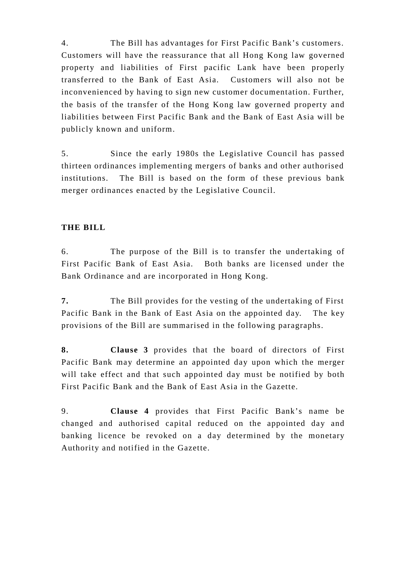4. The Bill has advantages for First Pacific Bank's customers. Customers will have the reassurance that all Hong Kong law governed property and liabilities of First pacific Lank have been properly transferred to the Bank of East Asia. Customers will also not be inconvenienced by having to sign new customer documentation. Further, the basis of the transfer of the Hong Kong law governed property and liabilities between First Pacific Bank and the Bank of East Asia will be publicly known and uniform.

5. Since the early 1980s the Legislative Council has passed thirteen ordinances implementing mergers of banks and other authorised institutions. The Bill is based on the form of these previous bank merger ordinances enacted by the Legislative Council.

## **THE BILL**

6. The purpose of the Bill is to transfer the undertaking of First Pacific Bank of East Asia. Both banks are licensed under the Bank Ordinance and are incorporated in Hong Kong.

**7.** The Bill provides for the vesting of the undertaking of First Pacific Bank in the Bank of East Asia on the appointed day. The key provisions of the Bill are summarised in the following paragraphs.

**8. Clause 3** provides that the board of directors of First Pacific Bank may determine an appointed day upon which the merger will take effect and that such appointed day must be notified by both First Pacific Bank and the Bank of East Asia in the Gazette.

9. **Clause 4** provides that First Pacific Bank's name be changed and authorised capital reduced on the appointed day and banking licence be revoked on a day determined by the monetary Authority and notified in the Gazette.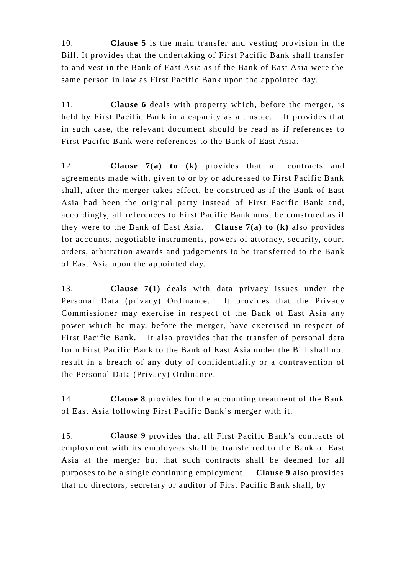10. **Clause 5** is the main transfer and vesting provision in the Bill. It provides that the undertaking of First Pacific Bank shall transfer to and vest in the Bank of East Asia as if the Bank of East Asia were the same person in law as First Pacific Bank upon the appointed day.

11. **Clause 6** deals with property which, before the merger, is held by First Pacific Bank in a capacity as a trustee. It provides that in such case, the relevant document should be read as if references to First Pacific Bank were references to the Bank of East Asia.

12. **Clause 7(a) to (k)** provides that all contracts and agreements made with, given to or by or addressed to First Pacific Bank shall, after the merger takes effect, be construed as if the Bank of East Asia had been the original party instead of First Pacific Bank and, accordingly, all references to First Pacific Bank must be construed as if they were to the Bank of East Asia. **Clause 7(a) to (k)** also provides for accounts, negotiable instruments, powers of attorney, security, court orders, arbitration awards and judgements to be transferred to the Bank of East Asia upon the appointed day.

13. **Clause 7(1)** deals with data privacy issues under the Personal Data (privacy) Ordinance. It provides that the Privacy Commissioner may exercise in respect of the Bank of East Asia any power which he may, before the merger, have exercised in respect of First Pacific Bank. It also provides that the transfer of personal data form First Pacific Bank to the Bank of East Asia under the Bill shall not result in a breach of any duty of confidentiality or a contravention of the Personal Data (Privacy) Ordinance.

14. **Clause 8** provides for the accounting treatment of the Bank of East Asia following First Pacific Bank's merger with it.

15. **Clause 9** provides that all First Pacific Bank's contracts of employment with its employees shall be transferred to the Bank of East Asia at the merger but that such contracts shall be deemed for all purposes to be a single continuing employment. **Clause 9** also provides that no directors, secretary or auditor of First Pacific Bank shall, by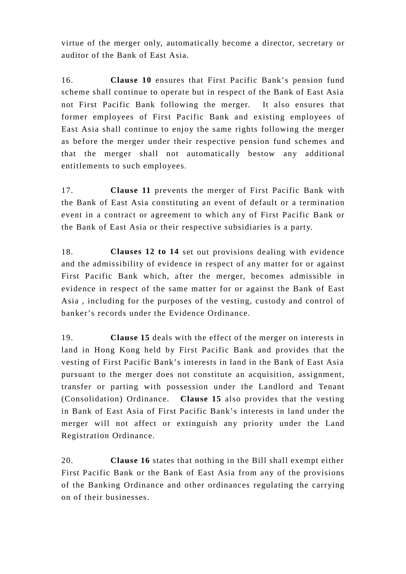virtue of the merger only, automatically become a director, secretary or auditor of the Bank of East Asia.

16. **Clause 10** ensures that First Pacific Bank's pension fund scheme shall continue to operate but in respect of the Bank of East Asia not First Pacific Bank following the merger. It also ensures that former employees of First Pacific Bank and existing employees of East Asia shall continue to enjoy the same rights following the merger as before the merger under their respective pension fund schemes and that the merger shall not automatically bestow any additional entitlements to such employees.

17. **Clause 11** prevents the merger of First Pacific Bank with the Bank of East Asia constituting an event of default or a termination event in a contract or agreement to which any of First Pacific Bank or the Bank of East Asia or their respective subsidiaries is a party.

18. **Clauses 12 to 14** set out provisions dealing with evidence and the admissibility of evidence in respect of any matter for or against First Pacific Bank which, after the merger, becomes admissible in evidence in respect of the same matter for or against the Bank of East Asia , including for the purposes of the vesting, custody and control of banker's records under the Evidence Ordinance.

19. **Clause 15** deals with the effect of the merger on interests in land in Hong Kong held by First Pacific Bank and provides that the vesting of First Pacific Bank's interests in land in the Bank of East Asia pursuant to the merger does not constitute an acquisition, assignment, transfer or parting with possession under the Landlord and Tenant (Consolidation) Ordinance. **Clause 15** also provides that the vesting in Bank of East Asia of First Pacific Bank's interests in land under the merger will not affect or extinguish any priority under the Land Registration Ordinance.

20. **Clause 16** states that nothing in the Bill shall exempt either First Pacific Bank or the Bank of East Asia from any of the provisions of the Banking Ordinance and other ordinances regulating the carrying on of their businesses.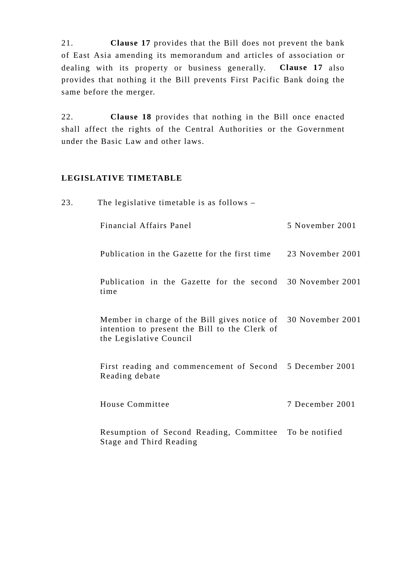21. **Clause 17** provides that the Bill does not prevent the bank of East Asia amending its memorandum and articles of association or dealing with its property or business generally. **Clause 17** also provides that nothing it the Bill prevents First Pacific Bank doing the same before the merger.

22. **Clause 18** provides that nothing in the Bill once enacted shall affect the rights of the Central Authorities or the Government under the Basic Law and other laws.

### **LEGISLATIVE TIMETABLE**

| 23. | The legislative timetable is as follows $-$                                                                                               |                  |
|-----|-------------------------------------------------------------------------------------------------------------------------------------------|------------------|
|     | Financial Affairs Panel                                                                                                                   | 5 November 2001  |
|     | Publication in the Gazette for the first time                                                                                             | 23 November 2001 |
|     | Publication in the Gazette for the second 30 November 2001<br>time                                                                        |                  |
|     | Member in charge of the Bill gives notice of 30 November 2001<br>intention to present the Bill to the Clerk of<br>the Legislative Council |                  |
|     | First reading and commencement of Second 5 December 2001<br>Reading debate                                                                |                  |
|     | House Committee                                                                                                                           | 7 December 2001  |
|     | Resumption of Second Reading, Committee To be notified<br>Stage and Third Reading                                                         |                  |